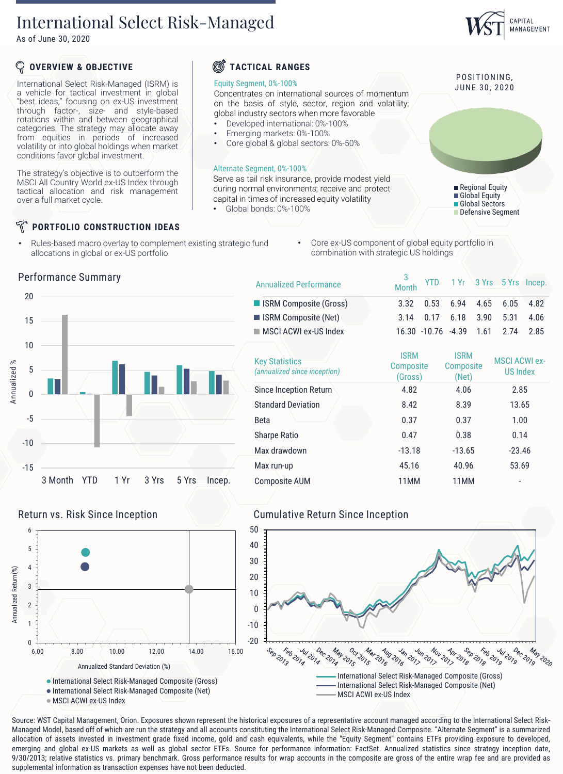## International Select Risk-Managed

As of June 30, 2020

## **OVERVIEW & OBJECTIVE**

International Select Risk-Managed (ISRM) is a vehicle for tactical investment in global "best ideas," focusing on ex-US investment through factor-, size- and style-based rotations within and between geographical categories. The strategy may allocate away from equities in periods of increased volatility or into global holdings when market conditions favor global investment.

The strategy's objective is to outperform the MSCI All Country World ex-US Index through tactical allocation and risk management over a full market cycle.

### **PORTFOLIO CONSTRUCTION IDEAS**

Performance Summary

• Rules-based macro overlay to complement existing strategic fund allocations in global or ex-US portfolio

#### Œſ **TACTICAL RANGES**

#### Equity Segment, 0%-100%

Concentrates on international sources of momentum on the basis of style, sector, region and volatility; global industry sectors when more favorable • Developed international: 0%-100%

- Emerging markets: 0%-100%
- Core global & global sectors: 0%-50%

### Alternate Segment, 0%-100%

Serve as tail risk insurance, provide modest yield during normal environments; receive and protect capital in times of increased equity volatility

• Global bonds: 0%-100%

Core ex-US component of global equity portfolio in combination with strategic US holdings

3

|                 | <b>Annualized Performance</b>                         | <b>Month</b>                        |                                   | YID I'M 3 Yrs 5 Yrs Incep.       |
|-----------------|-------------------------------------------------------|-------------------------------------|-----------------------------------|----------------------------------|
|                 | ISRM Composite (Gross)                                | 0.53<br>3.32                        | 6.94<br>4.65                      | 6.05<br>4.82                     |
|                 | ISRM Composite (Net)                                  | 3.14<br>0.17                        | 6.18<br>3.90                      | 5.31<br>4.06                     |
|                 | MSCI ACWI ex-US Index                                 | 16.30 -10.76                        | $-4.39$<br>1.61                   | 2.85<br>2.74                     |
|                 | <b>Key Statistics</b><br>(annualized since inception) | <b>ISRM</b><br>Composite<br>(Gross) | <b>ISRM</b><br>Composite<br>(Net) | <b>MSCI ACWI ex-</b><br>US Index |
|                 | Since Inception Return                                | 4.82                                | 4.06                              | 2.85                             |
|                 | <b>Standard Deviation</b>                             | 8.42                                | 8.39                              | 13.65                            |
|                 | <b>Beta</b>                                           | 0.37                                | 0.37                              | 1.00                             |
|                 | <b>Sharpe Ratio</b>                                   | 0.47                                | 0.38                              | 0.14                             |
|                 | Max drawdown                                          | $-13.18$                            | $-13.65$                          | $-23.46$                         |
|                 | Max run-up                                            | 45.16                               | 40.96                             | 53.69                            |
| 5 Yrs<br>Incep. | <b>Composite AUM</b>                                  | 11MM                                | 11MM                              |                                  |



3 Month YTD 1 Yr 3 Yrs

-15

-10

-5

0

5

10

15

20



MSCI ACWI ex-US Index

## Return vs. Risk Since Inception **Cumulative Return Since Inception**



Source: WST Capital Management, Orion. Exposures shown represent the historical exposures of a representative account managed according to the International Select Risk-Managed Model, based off of which are run the strategy and all accounts constituting the International Select Risk-Managed Composite. "Alternate Segment" is a summarized allocation of assets invested in investment grade fixed income, gold and cash equivalents, while the "Equity Segment" contains ETFs providing exposure to developed, emerging and global ex-US markets as well as global sector ETFs. Source for performance information: FactSet. Annualized statistics since strategy inception date, 9/30/2013; relative statistics vs. primary benchmark. Gross performance results for wrap accounts in the composite are gross of the entire wrap fee and are provided as

## POSITIONING.

JUNE 30, 2020



VTD 1 Vr 3 Vrs 5 Vrs Incen